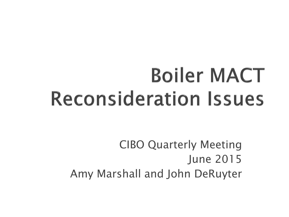## **Boiler MACT Reconsideration Issues**

CIBO Quarterly Meeting June 2015 Amy Marshall and John DeRuyter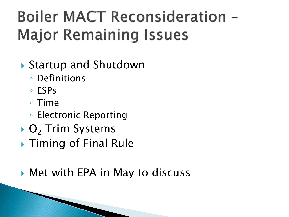#### **Boiler MACT Reconsideration -Major Remaining Issues**

- ▶ Startup and Shutdown
	- Definitions
	- ESPs
	- Time
	- Electronic Reporting
- $\bullet$  O<sub>2</sub> Trim Systems
- ▶ Timing of Final Rule
- ▶ Met with EPA in May to discuss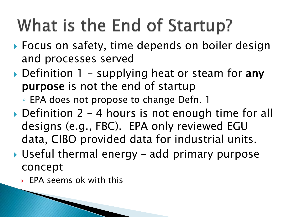## What is the End of Startup?

- ▶ Focus on safety, time depends on boiler design and processes served
- $\triangleright$  Definition 1 supplying heat or steam for any purpose is not the end of startup
	- EPA does not propose to change Defn. 1
- ▶ Definition 2 4 hours is not enough time for all designs (e.g., FBC). EPA only reviewed EGU data, CIBO provided data for industrial units.
- ▶ Useful thermal energy add primary purpose concept
	- EPA seems ok with this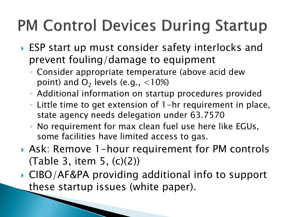#### **PM Control Devices During Startup**

- ▶ ESP start up must consider safety interlocks and prevent fouling/damage to equipment
	- Consider appropriate temperature (above acid dew point) and  $O_2$  levels (e.g.,  $<10\%$ )
	- Additional information on startup procedures provided
	- Little time to get extension of 1-hr requirement in place, state agency needs delegation under 63.7570
	- No requirement for max clean fuel use here like EGUs, some facilities have limited access to gas.
- Ask: Remove 1-hour requirement for PM controls (Table 3, item 5, (c)(2))
- ▶ CIBO/AF&PA providing additional info to support these startup issues (white paper).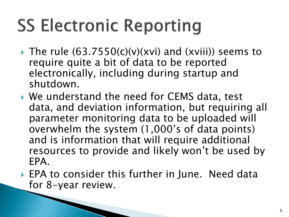## **SS Electronic Reporting**

- $\triangleright$  The rule (63.7550(c)(v)(xvi) and (xviii)) seems to require quite a bit of data to be reported electronically, including during startup and shutdown.
- ▶ We understand the need for CEMS data, test data, and deviation information, but requiring all parameter monitoring data to be uploaded will overwhelm the system (1,000's of data points) and is information that will require additional resources to provide and likely won't be used by EPA.
- ▶ EPA to consider this further in June. Need data for 8-year review.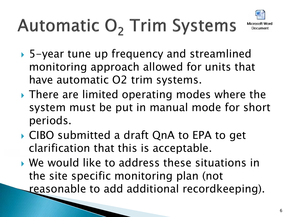

# Automatic O<sub>2</sub> Trim Systems

- 5-year tune up frequency and streamlined monitoring approach allowed for units that have automatic O2 trim systems.
- ▶ There are limited operating modes where the system must be put in manual mode for short periods.
- CIBO submitted a draft QnA to EPA to get clarification that this is acceptable.
- We would like to address these situations in the site specific monitoring plan (not reasonable to add additional recordkeeping).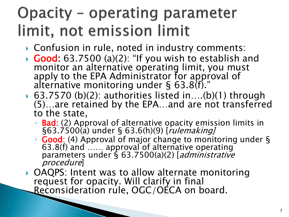#### **Opacity - operating parameter** limit, not emission limit

- ► Confusion in rule, noted in industry comments: <b>Good</b>: 63.7500 (a)(2): "If you wish to establish and
- monitor an alternative operating limit, you must apply to the EPA Administrator for approval of alternative monitoring under § 63.8(f)."<br>63.7570 (b)(2): authorities listed in....(b)(1) through
- (5)...are retained by the EPA...and are not transferred to the state,
	- **Bad:** (2) Approval of alternative opacity emission limits in §63.7500(a) under § 63.6(h)(9) [*rulemaking]*
	- Good: (4) Approval of major change to monitoring under § 63.8(f) and …… approval of alternative operating parameters under § 63.7500(a)(2) [*administrative* procedure]
- OAQPS: Intent was to allow alternate monitoring request for opacity. Will clarify in final Reconsideration rule, OGC/OÉCA on board.

**CONTRACTOR**